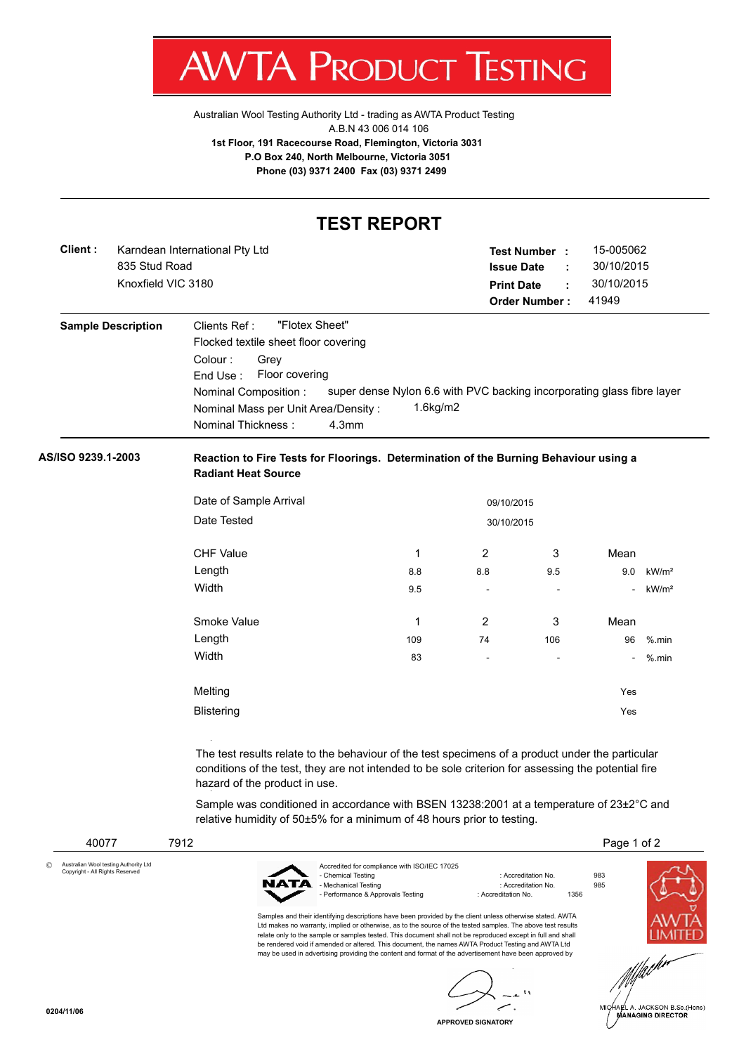

[Australian Wool Testing Authority Ltd - trading as AWTA Product Testing](http://www.awtaproducttesting.com.au/) A.B.N 43 006 014 106 **1st Floor, 191 Racecourse Road, Flemington, Victoria 3031 P.O Box 240, North Melbourne, Victoria 3051 Phone (03) 9371 2400 Fax (03) 9371 2499**

## **TEST REPORT**

| Client : | Karndean International Pty Ltd | Test Number:      |                   | 15-005062  |
|----------|--------------------------------|-------------------|-------------------|------------|
|          | 835 Stud Road                  | <b>Issue Date</b> | - 10              | 30/10/2015 |
|          | Knoxfield VIC 3180             | <b>Print Date</b> | <b>CONTRACTOR</b> | 30/10/2015 |
|          |                                | Order Number :    |                   | 41949      |
|          |                                |                   |                   |            |

| <b>Sample Description</b> | "Flotex Sheet"<br>Clients Ref:                                                                 |
|---------------------------|------------------------------------------------------------------------------------------------|
|                           | Flocked textile sheet floor covering                                                           |
|                           | Colour :<br>Grev                                                                               |
|                           | Floor covering<br>End Use:                                                                     |
|                           | super dense Nylon 6.6 with PVC backing incorporating glass fibre layer<br>Nominal Composition: |
|                           | $1.6$ kg/m $2$<br>Nominal Mass per Unit Area/Density:                                          |
|                           | Nominal Thickness:<br>4.3 <sub>mm</sub>                                                        |

## **AS/ISO 9239.1-2003 Reaction to Fire Tests for Floorings. Determination of the Burning Behaviour using a Radiant Heat Source**

| 30/10/2015 |     |                          |                          |                   |  |
|------------|-----|--------------------------|--------------------------|-------------------|--|
| 1          | 2   | 3                        | Mean                     |                   |  |
| 8.8        | 8.8 | 9.5                      | 9.0                      | kW/m <sup>2</sup> |  |
| 9.5        | -   | $\overline{\phantom{a}}$ | $\overline{\phantom{0}}$ | kW/m <sup>2</sup> |  |
| 1          | 2   | 3                        | Mean                     |                   |  |
| 109        | 74  | 106                      | 96                       | $%$ .min          |  |
| 83         | -   | ٠                        | $\overline{\phantom{0}}$ | $%$ .min          |  |
|            |     |                          | Yes                      |                   |  |
|            |     |                          | Yes                      |                   |  |
|            |     |                          | 09/10/2015               |                   |  |

The test results relate to the behaviour of the test specimens of a product under the particular conditions of the test, they are not intended to be sole criterion for assessing the potential fire hazard of the product in use.

Sample was conditioned in accordance with BSEN 13238:2001 at a temperature of 23±2°C and relative humidity of 50±5% for a minimum of 48 hours prior to testing.



**APPROVED SIGNATORY**

A. JACKSON B.Sc.(Hons) **MANAGING DIRECTOR**